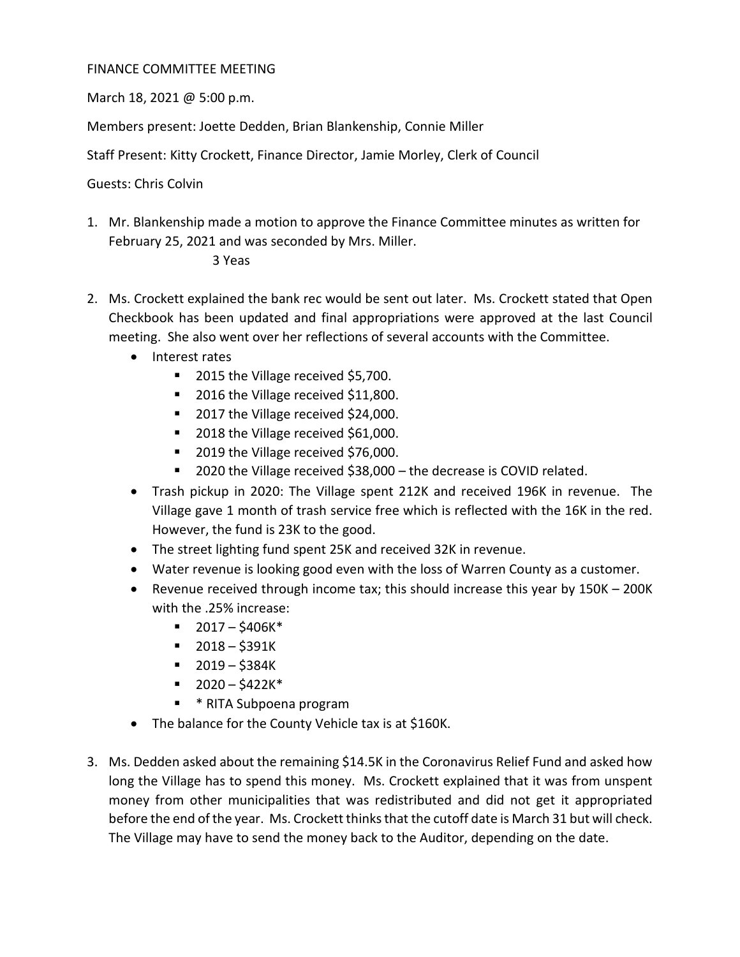## FINANCE COMMITTEE MEETING

March 18, 2021 @ 5:00 p.m.

Members present: Joette Dedden, Brian Blankenship, Connie Miller

Staff Present: Kitty Crockett, Finance Director, Jamie Morley, Clerk of Council

Guests: Chris Colvin

1. Mr. Blankenship made a motion to approve the Finance Committee minutes as written for February 25, 2021 and was seconded by Mrs. Miller.

## 3 Yeas

- 2. Ms. Crockett explained the bank rec would be sent out later. Ms. Crockett stated that Open Checkbook has been updated and final appropriations were approved at the last Council meeting. She also went over her reflections of several accounts with the Committee.
	- Interest rates
		- 2015 the Village received \$5,700.
		- 2016 the Village received \$11,800.
		- 2017 the Village received \$24,000.
		- 2018 the Village received \$61,000.
		- 2019 the Village received \$76,000.
		- 2020 the Village received \$38,000 the decrease is COVID related.
	- Trash pickup in 2020: The Village spent 212K and received 196K in revenue. The Village gave 1 month of trash service free which is reflected with the 16K in the red. However, the fund is 23K to the good.
	- The street lighting fund spent 25K and received 32K in revenue.
	- Water revenue is looking good even with the loss of Warren County as a customer.
	- Revenue received through income tax; this should increase this year by 150K 200K with the .25% increase:
		- $-2017 $406K^*$
		- $-2018 $391K$
		- $-2019 $384K$
		- $-2020 5422K^*$
		- **\*** RITA Subpoena program
	- The balance for the County Vehicle tax is at \$160K.
- 3. Ms. Dedden asked about the remaining \$14.5K in the Coronavirus Relief Fund and asked how long the Village has to spend this money. Ms. Crockett explained that it was from unspent money from other municipalities that was redistributed and did not get it appropriated before the end of the year. Ms. Crockett thinks that the cutoff date is March 31 but will check. The Village may have to send the money back to the Auditor, depending on the date.